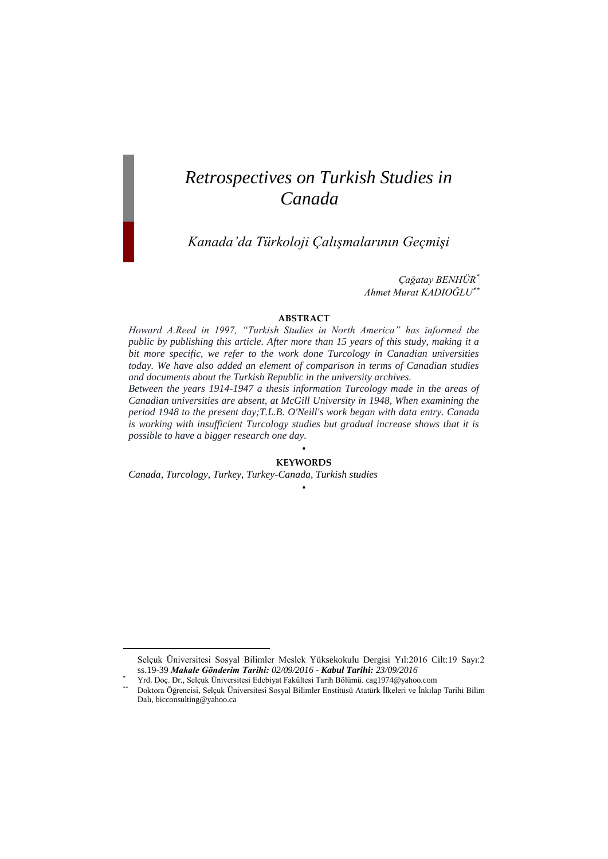# *Retrospectives on Turkish Studies in Canada*

*Kanada'da Türkoloji Çalışmalarının Geçmişi*

*Çağatay BENHÜR\* Ahmet Murat KADIOĞLU*

#### **ABSTRACT**

*Howard A.Reed in 1997, "Turkish Studies in North America" has informed the public by publishing this article. After more than 15 years of this study, making it a bit more specific, we refer to the work done Turcology in Canadian universities today. We have also added an element of comparison in terms of Canadian studies and documents about the Turkish Republic in the university archives.*

*Between the years 1914-1947 a thesis information Turcology made in the areas of Canadian universities are absent, at McGill University in 1948, When examining the period 1948 to the present day;T.L.B. O'Neill's work began with data entry. Canada is working with insufficient Turcology studies but gradual increase shows that it is possible to have a bigger research one day.*

#### • **KEYWORDS**

•

*Canada, Turcology, Turkey, Turkey-Canada, Turkish studies*

 $\overline{a}$ 

Selçuk Üniversitesi Sosyal Bilimler Meslek Yüksekokulu Dergisi Yıl:2016 Cilt:19 Sayı:2 ss.19-39 *Makale Gönderim Tarihi: 02/09/2016 - Kabul Tarihi: 23/09/2016* 

**<sup>\*</sup>** Yrd. Doç. Dr., Selçuk Üniversitesi Edebiyat Fakültesi Tarih Bölümü. cag1974@yahoo.com

<sup>11</sup>a: 253; 211, 211, 211 Carrier ve Tarihi Bilimler Enstitüsü Atatürk İlkeleri ve İnkılap Tarihi Bilim Dalı, bicconsulting@yahoo.ca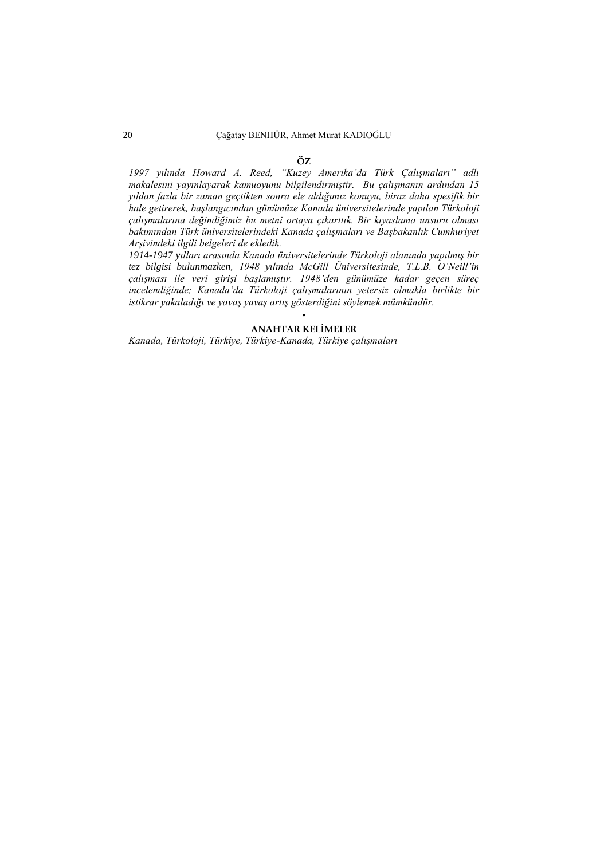#### **ÖZ**

*1997 yılında Howard A. Reed, "Kuzey Amerika'da Türk Çalışmaları" adlı makalesini yayınlayarak kamuoyunu bilgilendirmiştir. Bu çalışmanın ardından 15 yıldan fazla bir zaman geçtikten sonra ele aldığımız konuyu, biraz daha spesifik bir hale getirerek, başlangıcından günümüze Kanada üniversitelerinde yapılan Türkoloji çalışmalarına değindiğimiz bu metni ortaya çıkarttık. Bir kıyaslama unsuru olması bakımından Türk üniversitelerindeki Kanada çalışmaları ve Başbakanlık Cumhuriyet Arşivindeki ilgili belgeleri de ekledik.* 

*1914-1947 yılları arasında Kanada üniversitelerinde Türkoloji alanında yapılmış bir tez bilgisi bulunmazken, 1948 yılında McGill Üniversitesinde, T.L.B. O'Neill'in çalışması ile veri girişi başlamıştır. 1948'den günümüze kadar geçen süreç incelendiğinde; Kanada'da Türkoloji çalışmalarının yetersiz olmakla birlikte bir istikrar yakaladığı ve yavaş yavaş artış gösterdiğini söylemek mümkündür.*

#### • **ANAHTAR KELİMELER**

*Kanada, Türkoloji, Türkiye, Türkiye-Kanada, Türkiye çalışmaları*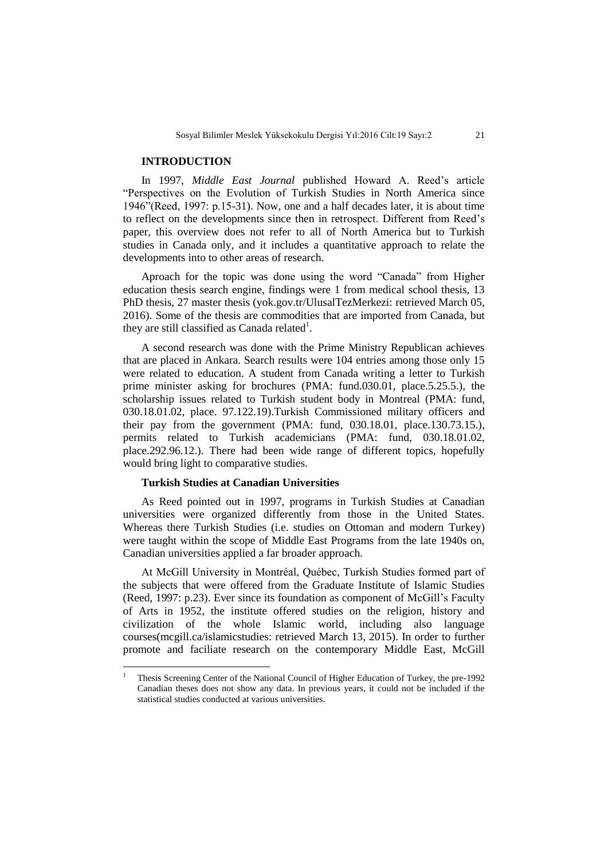### **INTRODUCTION**

In 1997, *Middle East Journal* published Howard A. Reed"s article "Perspectives on the Evolution of Turkish Studies in North America since 1946"(Reed, 1997: p.15-31). Now, one and a half decades later, it is about time to reflect on the developments since then in retrospect. Different from Reed"s paper, this overview does not refer to all of North America but to Turkish studies in Canada only, and it includes a quantitative approach to relate the developments into to other areas of research.

Aproach for the topic was done using the word "Canada" from Higher education thesis search engine, findings were 1 from medical school thesis, 13 PhD thesis, 27 master thesis (yok.gov.tr/UlusalTezMerkezi: retrieved March 05, 2016). Some of the thesis are commodities that are imported from Canada, but they are still classified as Canada related<sup>1</sup>.

A second research was done with the Prime Ministry Republican achieves that are placed in Ankara. Search results were 104 entries among those only 15 were related to education. A student from Canada writing a letter to Turkish prime minister asking for brochures (PMA: fund.030.01, place.5.25.5.), the scholarship issues related to Turkish student body in Montreal (PMA: fund, 030.18.01.02, place. 97.122.19).Turkish Commissioned military officers and their pay from the government (PMA: fund, 030.18.01, place.130.73.15.), permits related to Turkish academicians (PMA: fund, 030.18.01.02, place.292.96.12.). There had been wide range of different topics, hopefully would bring light to comparative studies.

#### **Turkish Studies at Canadian Universities**

 $\overline{a}$ 

As Reed pointed out in 1997, programs in Turkish Studies at Canadian universities were organized differently from those in the United States. Whereas there Turkish Studies (i.e. studies on Ottoman and modern Turkey) were taught within the scope of Middle East Programs from the late 1940s on, Canadian universities applied a far broader approach.

At McGill University in Montréal, Québec, Turkish Studies formed part of the subjects that were offered from the Graduate Institute of Islamic Studies (Reed, 1997: p.23). Ever since its foundation as component of McGill"s Faculty of Arts in 1952, the institute offered studies on the religion, history and civilization of the whole Islamic world, including also language courses[\(mcgill.ca/islamicstudies: r](http://www.mcgill.ca/islamicstudies/)etrieved March 13, 2015). In order to further promote and faciliate research on the contemporary Middle East, McGill

<sup>1</sup> Thesis Screening Center of the National Council of Higher Education of Turkey, the pre-1992 Canadian theses does not show any data. In previous years, it could not be included if the statistical studies conducted at various universities.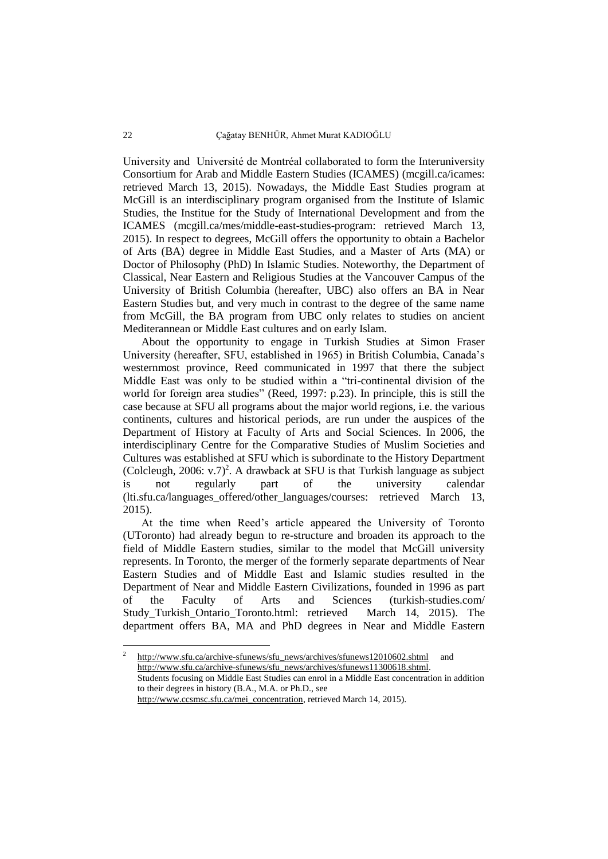University and Université de Montréal collaborated to form the Interuniversity Consortium for Arab and Middle Eastern Studies (ICAMES) [\(mcgill.ca/icames:](http://www.mcgill.ca/icames/)  retrieved March 13, 2015). Nowadays, the Middle East Studies program at McGill is an interdisciplinary program organised from the Institute of Islamic Studies, the Institue for the Study of International Development and from the ICAMES [\(mcgill.ca/mes/middle-east-studies-program:](http://www.mcgill.ca/mes/middle-east-studies-program) retrieved March 13, 2015). In respect to degrees, McGill offers the opportunity to obtain a Bachelor of Arts (BA) degree in Middle East Studies, and a Master of Arts (MA) or Doctor of Philosophy (PhD) In Islamic Studies. Noteworthy, the Department of Classical, Near Eastern and Religious Studies at the Vancouver Campus of the University of British Columbia (hereafter, UBC) also offers an BA in Near Eastern Studies but, and very much in contrast to the degree of the same name from McGill, the BA program from UBC only relates to studies on ancient Mediterannean or Middle East cultures and on early Islam.

About the opportunity to engage in Turkish Studies at Simon Fraser University (hereafter, SFU, established in 1965) in British Columbia, Canada"s westernmost province, Reed communicated in 1997 that there the subject Middle East was only to be studied within a "tri-continental division of the world for foreign area studies" (Reed, 1997: p.23). In principle, this is still the case because at SFU all programs about the major world regions, i.e. the various continents, cultures and historical periods, are run under the auspices of the Department of History at Faculty of Arts and Social Sciences. In 2006, the interdisciplinary Centre for the Comparative Studies of Muslim Societies and Cultures was established at SFU which is subordinate to the History Department (Colcleugh, 2006: v.7)<sup>2</sup>. A drawback at SFU is that Turkish language as subject is not regularly part of the university calendar (lti.sfu.ca/languages offered/other\_languages/courses: retrieved March 13, 2015).

At the time when Reed"s article appeared the University of Toronto (UToronto) had already begun to re-structure and broaden its approach to the field of Middle Eastern studies, similar to the model that McGill university represents. In Toronto, the merger of the formerly separate departments of Near Eastern Studies and of Middle East and Islamic studies resulted in the Department of Near and Middle Eastern Civilizations, founded in 1996 as part of the Faculty of Arts and Sciences [\(turkish-studies.com/](http://www.turkish-studies.com/University/Canada/Study_Turkish_Ontario_Toronto.html)  [Study\\_Turkish\\_Ontario\\_Toronto.html:](http://www.turkish-studies.com/University/Canada/Study_Turkish_Ontario_Toronto.html) retrieved March 14, 2015). The department offers BA, MA and PhD degrees in Near and Middle Eastern

 $\frac{1}{2}$ [http://www.sfu.ca/archive-sfunews/sfu\\_news/archives/sfunews12010602.shtml](http://www.sfu.ca/archive-sfunews/sfu_news/archives/sfunews12010602.shtml) and [http://www.sfu.ca/archive-sfunews/sfu\\_news/archives/sfunews11300618.shtml.](http://www.sfu.ca/archive-sfunews/sfu_news/archives/sfunews11300618.shtml) Students focusing on Middle East Studies can enrol in a Middle East concentration in addition to their degrees in history (B.A., M.A. or Ph.D., see [http://www.ccsmsc.sfu.ca/mei\\_concentration,](http://www.ccsmsc.sfu.ca/mei_concentration) retrieved March 14, 2015).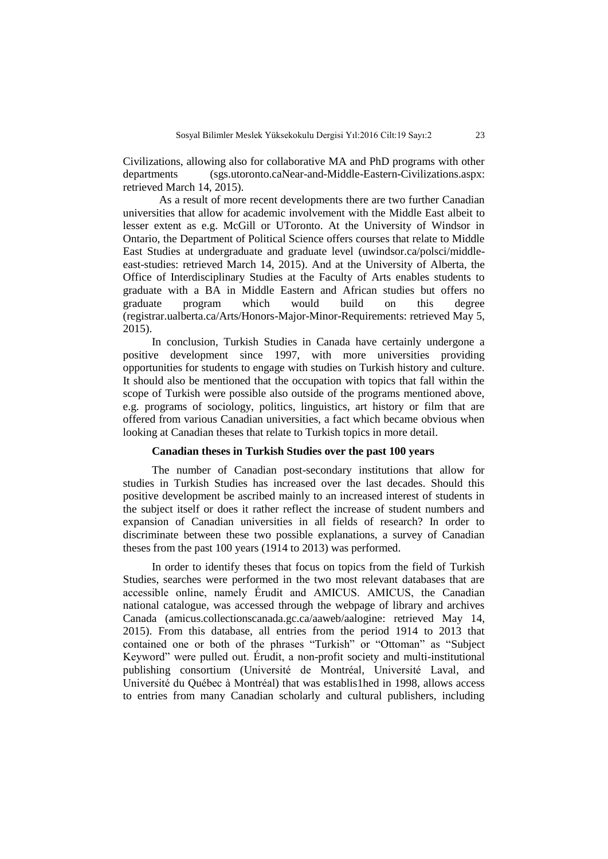Civilizations, allowing also for collaborative MA and PhD programs with other departments [\(sgs.utoronto.caNear-and-Middle-Eastern-Civilizations.aspx:](http://www.sgs.utoronto.ca/calendar/Pages/Programs/Near-and-Middle-Eastern-Civilizations.aspx) retrieved March 14, 2015).

As a result of more recent developments there are two further Canadian universities that allow for academic involvement with the Middle East albeit to lesser extent as e.g. McGill or UToronto. At the University of Windsor in Ontario, the Department of Political Science offers courses that relate to Middle East Studies at undergraduate and graduate level [\(uwindsor.ca/polsci/middle](http://www.uwindsor.ca/polsci/middle-east-studies-0)[east-studies:](http://www.uwindsor.ca/polsci/middle-east-studies-0) retrieved March 14, 2015). And at the University of Alberta, the Office of Interdisciplinary Studies at the Faculty of Arts enables students to graduate with a BA in Middle Eastern and African studies but offers no graduate program which would build on this degree [\(registrar.ualberta.ca/Arts/Honors-Major-Minor-Requirements: retrieved](http://www.registrar.ualberta.ca/calendar/Undergrad/Arts/Honors-Major-Minor-Requirements/44.19.html) May 5, [2015\).](http://www.registrar.ualberta.ca/calendar/Undergrad/Arts/Honors-Major-Minor-Requirements/44.19.html) 

In conclusion, Turkish Studies in Canada have certainly undergone a positive development since 1997, with more universities providing opportunities for students to engage with studies on Turkish history and culture. It should also be mentioned that the occupation with topics that fall within the scope of Turkish were possible also outside of the programs mentioned above, e.g. programs of sociology, politics, linguistics, art history or film that are offered from various Canadian universities, a fact which became obvious when looking at Canadian theses that relate to Turkish topics in more detail.

### **Canadian theses in Turkish Studies over the past 100 years**

The number of Canadian post-secondary institutions that allow for studies in Turkish Studies has increased over the last decades. Should this positive development be ascribed mainly to an increased interest of students in the subject itself or does it rather reflect the increase of student numbers and expansion of Canadian universities in all fields of research? In order to discriminate between these two possible explanations, a survey of Canadian theses from the past 100 years (1914 to 2013) was performed.

In order to identify theses that focus on topics from the field of Turkish Studies, searches were performed in the two most relevant databases that are accessible online, namely Érudit and AMICUS. AMICUS, the Canadian national catalogue, was accessed through the webpage of library and archives Canada [\(amicus.collectionscanada.gc.ca/aaweb/aalogine:](http://amicus.collectionscanada.gc.ca/aaweb/aalogine.htm) retrieved May 14, 2015). From this database, all entries from the period 1914 to 2013 that contained one or both of the phrases "Turkish" or "Ottoman" as "Subject Keyword" were pulled out. Érudit, a non-profit society and multi-institutional publishing consortium [\(Université de Montréal,](http://www.umontreal.ca/english/index.html) [Université Laval,](http://www2.ulaval.ca/en/home.html) and [Université du Québec à Montréal\)](http://www.uqam.ca/en/about/presentation_en.htm) that was establis1hed in 1998, allows access to entries from many Canadian scholarly and cultural publishers, including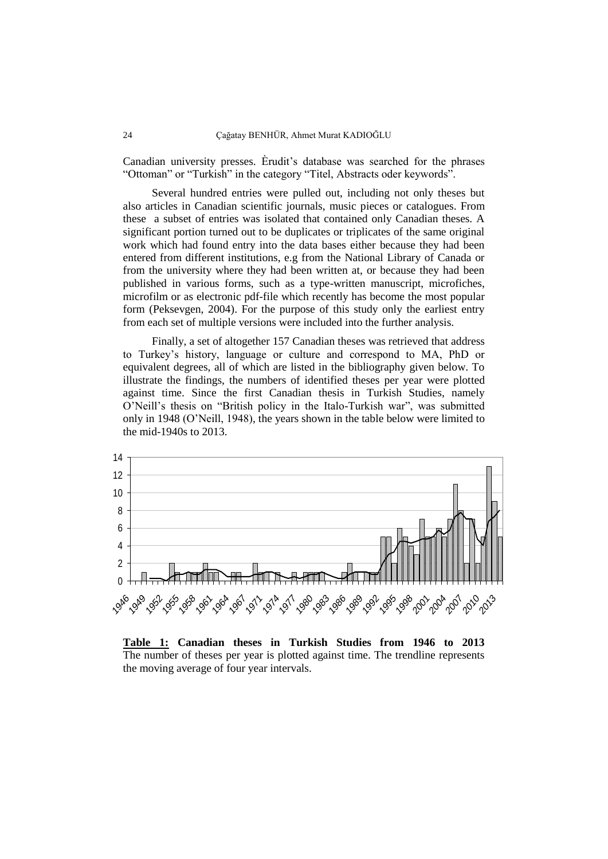Canadian university presses. Èrudit"s database was searched for the phrases "Ottoman" or "Turkish" in the category "Titel, Abstracts oder keywords".

Several hundred entries were pulled out, including not only theses but also articles in Canadian scientific journals, music pieces or catalogues. From these a subset of entries was isolated that contained only Canadian theses. A significant portion turned out to be duplicates or triplicates of the same original work which had found entry into the data bases either because they had been entered from different institutions, e.g from the National Library of Canada or from the university where they had been written at, or because they had been published in various forms, such as a type-written manuscript, microfiches, microfilm or as electronic pdf-file which recently has become the most popular form (Peksevgen, 2004). For the purpose of this study only the earliest entry from each set of multiple versions were included into the further analysis.

Finally, a set of altogether 157 Canadian theses was retrieved that address to Turkey"s history, language or culture and correspond to MA, PhD or equivalent degrees, all of which are listed in the bibliography given below. To illustrate the findings, the numbers of identified theses per year were plotted against time. Since the first Canadian thesis in Turkish Studies, namely O"Neill"s thesis on "British policy in the Italo-Turkish war", was submitted only in 1948 (O"Neill, 1948), the years shown in the table below were limited to the mid-1940s to 2013.



**Table 1: Canadian theses in Turkish Studies from 1946 to 2013** The number of theses per year is plotted against time. The trendline represents the moving average of four year intervals.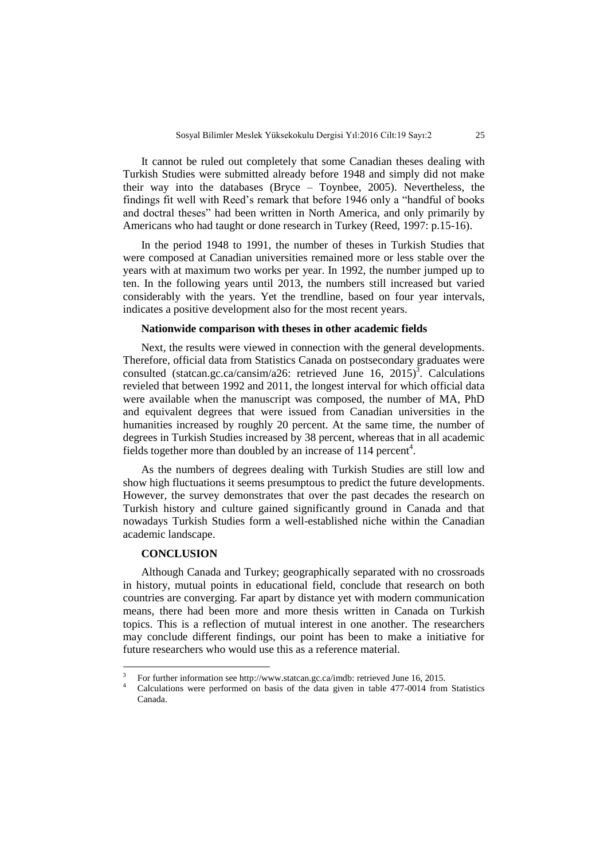It cannot be ruled out completely that some Canadian theses dealing with Turkish Studies were submitted already before 1948 and simply did not make their way into the databases (Bryce – Toynbee, 2005). Nevertheless, the findings fit well with Reed"s remark that before 1946 only a "handful of books and doctral theses" had been written in North America, and only primarily by Americans who had taught or done research in Turkey (Reed, 1997: p.15-16).

In the period 1948 to 1991, the number of theses in Turkish Studies that were composed at Canadian universities remained more or less stable over the years with at maximum two works per year. In 1992, the number jumped up to ten. In the following years until 2013, the numbers still increased but varied considerably with the years. Yet the trendline, based on four year intervals, indicates a positive development also for the most recent years.

#### **Nationwide comparison with theses in other academic fields**

Next, the results were viewed in connection with the general developments. Therefore, official data from Statistics Canada on postsecondary graduates were consulted [\(statcan.gc.ca/cansim/a26:](http://www5.statcan.gc.ca/cansim/a26%20on%20March%2014) retrieved June 16, 2015)<sup>3</sup>. Calculations revieled that between 1992 and 2011, the longest interval for which official data were available when the manuscript was composed, the number of MA, PhD and equivalent degrees that were issued from Canadian universities in the humanities increased by roughly 20 percent. At the same time, the number of degrees in Turkish Studies increased by 38 percent, whereas that in all academic fields together more than doubled by an increase of 114 percent<sup>4</sup>.

As the numbers of degrees dealing with Turkish Studies are still low and show high fluctuations it seems presumptous to predict the future developments. However, the survey demonstrates that over the past decades the research on Turkish history and culture gained significantly ground in Canada and that nowadays Turkish Studies form a well-established niche within the Canadian academic landscape.

# **CONCLUSION**

 $\overline{a}$ 

Although Canada and Turkey; geographically separated with no crossroads in history, mutual points in educational field, conclude that research on both countries are converging. Far apart by distance yet with modern communication means, there had been more and more thesis written in Canada on Turkish topics. This is a reflection of mutual interest in one another. The researchers may conclude different findings, our point has been to make a initiative for future researchers who would use this as a reference material.

<sup>3</sup> For further information see http://www.statcan.gc.ca/imdb: retrieved June 16, 2015.

<sup>4</sup> Calculations were performed on basis of the data given in table 477-0014 from Statistics Canada.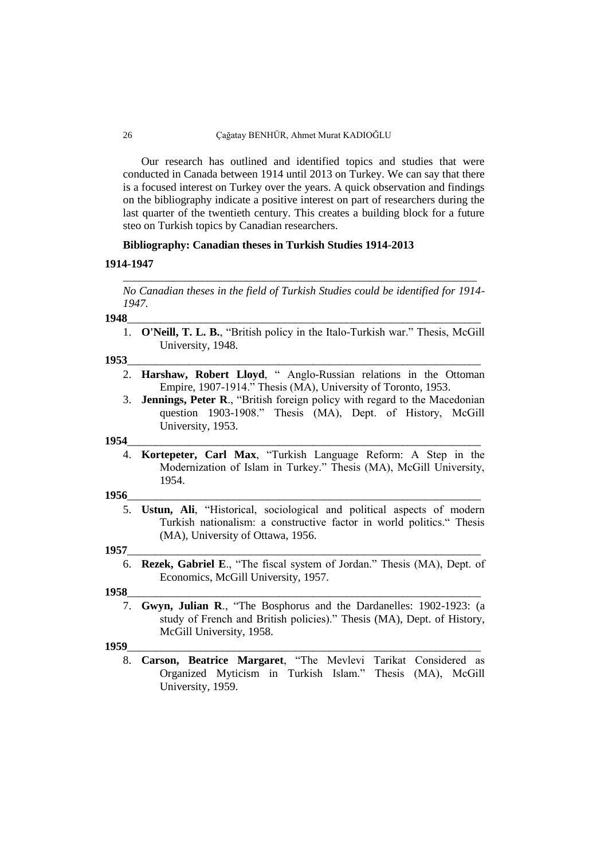#### 26 Çağatay BENHÜR, Ahmet Murat KADIOĞLU

Our research has outlined and identified topics and studies that were conducted in Canada between 1914 until 2013 on Turkey. We can say that there is a focused interest on Turkey over the years. A quick observation and findings on the bibliography indicate a positive interest on part of researchers during the last quarter of the twentieth century. This creates a building block for a future steo on Turkish topics by Canadian researchers.

# **Bibliography: Canadian theses in Turkish Studies 1914-2013**

#### **1914-1947**

*No Canadian theses in the field of Turkish Studies could be identified for 1914- 1947.*

\_\_\_\_\_\_\_\_\_\_\_\_\_\_\_\_\_\_\_\_\_\_\_\_\_\_\_\_\_\_\_\_\_\_\_\_\_\_\_\_\_\_\_\_\_\_\_\_\_\_\_\_\_\_\_\_\_\_\_\_\_\_\_

#### **1948**\_\_\_\_\_\_\_\_\_\_\_\_\_\_\_\_\_\_\_\_\_\_\_\_\_\_\_\_\_\_\_\_\_\_\_\_\_\_\_\_\_\_\_\_\_\_\_\_\_\_\_\_\_\_\_\_\_\_\_\_\_\_\_

1. **O'Neill, T. L. B.**, "British policy in the Italo-Turkish war." Thesis, McGill University, 1948.

#### **1953**\_\_\_\_\_\_\_\_\_\_\_\_\_\_\_\_\_\_\_\_\_\_\_\_\_\_\_\_\_\_\_\_\_\_\_\_\_\_\_\_\_\_\_\_\_\_\_\_\_\_\_\_\_\_\_\_\_\_\_\_\_\_\_

- 2. **Harshaw, Robert Lloyd**, " Anglo-Russian relations in the Ottoman Empire, 1907-1914." Thesis (MA), University of Toronto, 1953.
- 3. **Jennings, Peter R**., "British foreign policy with regard to the Macedonian question 1903-1908." Thesis (MA), Dept. of History, McGill University, 1953.

#### **1954**\_\_\_\_\_\_\_\_\_\_\_\_\_\_\_\_\_\_\_\_\_\_\_\_\_\_\_\_\_\_\_\_\_\_\_\_\_\_\_\_\_\_\_\_\_\_\_\_\_\_\_\_\_\_\_\_\_\_\_\_\_\_\_

4. **Kortepeter, Carl Max**, "Turkish Language Reform: A Step in the Modernization of Islam in Turkey." Thesis (MA), McGill University, 1954.

#### **1956**\_\_\_\_\_\_\_\_\_\_\_\_\_\_\_\_\_\_\_\_\_\_\_\_\_\_\_\_\_\_\_\_\_\_\_\_\_\_\_\_\_\_\_\_\_\_\_\_\_\_\_\_\_\_\_\_\_\_\_\_\_\_\_

5. **Ustun, Ali**, "Historical, sociological and political aspects of modern Turkish nationalism: a constructive factor in world politics." Thesis (MA), University of Ottawa, 1956.

#### **1957**\_\_\_\_\_\_\_\_\_\_\_\_\_\_\_\_\_\_\_\_\_\_\_\_\_\_\_\_\_\_\_\_\_\_\_\_\_\_\_\_\_\_\_\_\_\_\_\_\_\_\_\_\_\_\_\_\_\_\_\_\_\_\_

6. **Rezek, Gabriel E**., "The fiscal system of Jordan." Thesis (MA), Dept. of Economics, McGill University, 1957.

#### **1958**\_\_\_\_\_\_\_\_\_\_\_\_\_\_\_\_\_\_\_\_\_\_\_\_\_\_\_\_\_\_\_\_\_\_\_\_\_\_\_\_\_\_\_\_\_\_\_\_\_\_\_\_\_\_\_\_\_\_\_\_\_\_\_

7. **Gwyn, Julian R**., "The Bosphorus and the Dardanelles: 1902-1923: (a study of French and British policies)." Thesis (MA), Dept. of History, McGill University, 1958.

#### **1959**\_\_\_\_\_\_\_\_\_\_\_\_\_\_\_\_\_\_\_\_\_\_\_\_\_\_\_\_\_\_\_\_\_\_\_\_\_\_\_\_\_\_\_\_\_\_\_\_\_\_\_\_\_\_\_\_\_\_\_\_\_\_\_

8. **Carson, Beatrice Margaret**, "The Mevlevi Tarikat Considered as Organized Myticism in Turkish Islam." Thesis (MA), McGill University, 1959.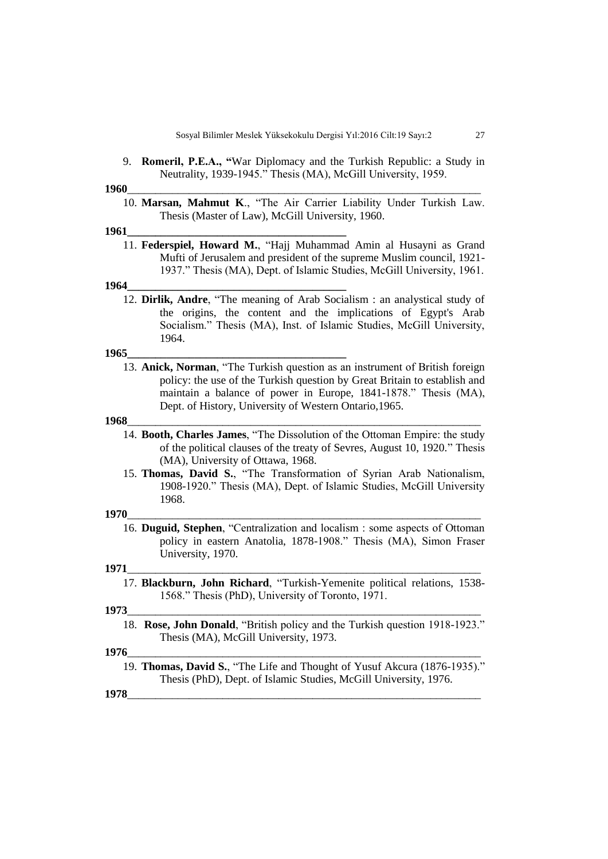9. **Romeril, P.E.A., "**War Diplomacy and the Turkish Republic: a Study in Neutrality, 1939-1945." Thesis (MA), McGill University, 1959.

#### **1960**\_\_\_\_\_\_\_\_\_\_\_\_\_\_\_\_\_\_\_\_\_\_\_\_\_\_\_\_\_\_\_\_\_\_\_\_\_\_\_\_\_\_\_\_\_\_\_\_\_\_\_\_\_\_\_\_\_\_\_\_\_\_\_

10. **Marsan, Mahmut K**., "The Air Carrier Liability Under Turkish Law. Thesis (Master of Law), McGill University, 1960.

#### **1961\_\_\_\_\_\_\_\_\_\_\_\_\_\_\_\_\_\_\_\_\_\_\_\_\_\_\_\_\_\_\_\_\_\_\_\_\_\_\_**

11. **Federspiel, Howard M.**, "Hajj Muhammad Amin al Husayni as Grand Mufti of Jerusalem and president of the supreme Muslim council, 1921- 1937." Thesis (MA), Dept. of Islamic Studies, McGill University, 1961.

#### **1964\_\_\_\_\_\_\_\_\_\_\_\_\_\_\_\_\_\_\_\_\_\_\_\_\_\_\_\_\_\_\_\_\_\_\_\_\_\_\_**

12. **Dirlik, Andre**, "The meaning of Arab Socialism : an analystical study of the origins, the content and the implications of Egypt's Arab Socialism." Thesis (MA), Inst. of Islamic Studies, McGill University, 1964.

#### **1965\_\_\_\_\_\_\_\_\_\_\_\_\_\_\_\_\_\_\_\_\_\_\_\_\_\_\_\_\_\_\_\_\_\_\_\_\_\_\_**

13. **Anick, Norman**, "The Turkish question as an instrument of British foreign policy: the use of the Turkish question by Great Britain to establish and maintain a balance of power in Europe, 1841-1878." Thesis (MA), Dept. of History, University of Western Ontario,1965.

#### **1968**\_\_\_\_\_\_\_\_\_\_\_\_\_\_\_\_\_\_\_\_\_\_\_\_\_\_\_\_\_\_\_\_\_\_\_\_\_\_\_\_\_\_\_\_\_\_\_\_\_\_\_\_\_\_\_\_\_\_\_\_\_\_\_

- 14. **Booth, Charles James**, "The Dissolution of the Ottoman Empire: the study of the political clauses of the treaty of Sevres, August 10, 1920." Thesis (MA), University of Ottawa, 1968.
- 15. **Thomas, David S.**, "The Transformation of Syrian Arab Nationalism, 1908-1920." Thesis (MA), Dept. of Islamic Studies, McGill University 1968.

#### **1970**\_\_\_\_\_\_\_\_\_\_\_\_\_\_\_\_\_\_\_\_\_\_\_\_\_\_\_\_\_\_\_\_\_\_\_\_\_\_\_\_\_\_\_\_\_\_\_\_\_\_\_\_\_\_\_\_\_\_\_\_\_\_\_

16. **Duguid, Stephen**, "Centralization and localism : some aspects of Ottoman policy in eastern Anatolia, 1878-1908." Thesis (MA), Simon Fraser University, 1970.

#### **1971**\_\_\_\_\_\_\_\_\_\_\_\_\_\_\_\_\_\_\_\_\_\_\_\_\_\_\_\_\_\_\_\_\_\_\_\_\_\_\_\_\_\_\_\_\_\_\_\_\_\_\_\_\_\_\_\_\_\_\_\_\_\_\_

17. **Blackburn, John Richard**, "Turkish-Yemenite political relations, 1538- 1568." Thesis (PhD), University of Toronto, 1971.

#### **1973**\_\_\_\_\_\_\_\_\_\_\_\_\_\_\_\_\_\_\_\_\_\_\_\_\_\_\_\_\_\_\_\_\_\_\_\_\_\_\_\_\_\_\_\_\_\_\_\_\_\_\_\_\_\_\_\_\_\_\_\_\_\_\_

18. **Rose, John Donald**, "British policy and the Turkish question 1918-1923." Thesis (MA), McGill University, 1973.

#### **1976**\_\_\_\_\_\_\_\_\_\_\_\_\_\_\_\_\_\_\_\_\_\_\_\_\_\_\_\_\_\_\_\_\_\_\_\_\_\_\_\_\_\_\_\_\_\_\_\_\_\_\_\_\_\_\_\_\_\_\_\_\_\_\_

19. **Thomas, David S.**, "The Life and Thought of Yusuf Akcura (1876-1935)." Thesis (PhD), Dept. of Islamic Studies, McGill University, 1976.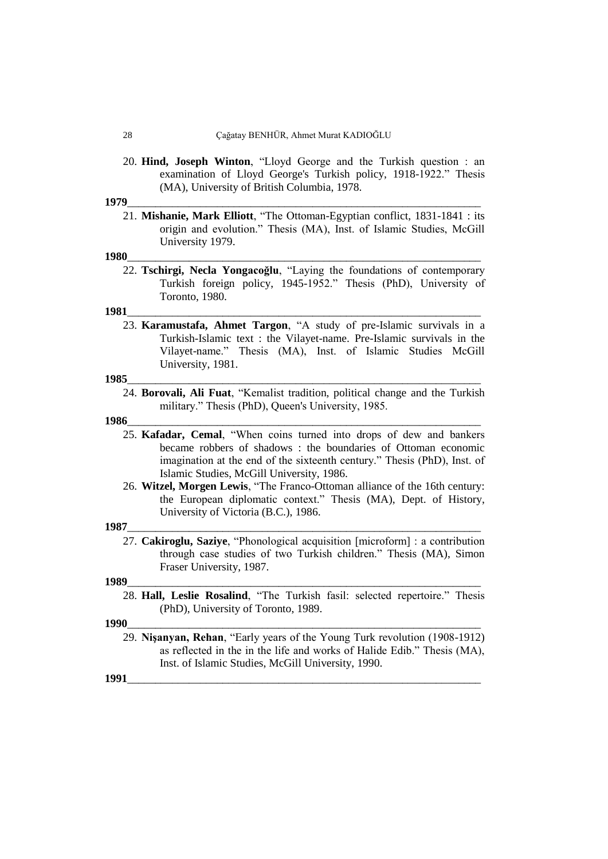20. **Hind, Joseph Winton**, "Lloyd George and the Turkish question : an examination of Lloyd George's Turkish policy, 1918-1922." Thesis (MA), University of British Columbia, 1978.

#### **1979**\_\_\_\_\_\_\_\_\_\_\_\_\_\_\_\_\_\_\_\_\_\_\_\_\_\_\_\_\_\_\_\_\_\_\_\_\_\_\_\_\_\_\_\_\_\_\_\_\_\_\_\_\_\_\_\_\_\_\_\_\_\_\_

21. **Mishanie, Mark Elliott**, "The Ottoman-Egyptian conflict, 1831-1841 : its origin and evolution." Thesis (MA), Inst. of Islamic Studies, McGill University 1979.

#### **1980**\_\_\_\_\_\_\_\_\_\_\_\_\_\_\_\_\_\_\_\_\_\_\_\_\_\_\_\_\_\_\_\_\_\_\_\_\_\_\_\_\_\_\_\_\_\_\_\_\_\_\_\_\_\_\_\_\_\_\_\_\_\_\_

22. **Tschirgi, Necla Yongacoğlu**, "Laying the foundations of contemporary Turkish foreign policy, 1945-1952." Thesis (PhD), University of Toronto, 1980.

#### **1981**\_\_\_\_\_\_\_\_\_\_\_\_\_\_\_\_\_\_\_\_\_\_\_\_\_\_\_\_\_\_\_\_\_\_\_\_\_\_\_\_\_\_\_\_\_\_\_\_\_\_\_\_\_\_\_\_\_\_\_\_\_\_\_

23. **Karamustafa, Ahmet Targon**, "A study of pre-Islamic survivals in a Turkish-Islamic text : the Vilayet-name. Pre-Islamic survivals in the Vilayet-name." Thesis (MA), Inst. of Islamic Studies McGill University, 1981.

#### **1985**\_\_\_\_\_\_\_\_\_\_\_\_\_\_\_\_\_\_\_\_\_\_\_\_\_\_\_\_\_\_\_\_\_\_\_\_\_\_\_\_\_\_\_\_\_\_\_\_\_\_\_\_\_\_\_\_\_\_\_\_\_\_\_

24. **Borovali, Ali Fuat**, "Kemalist tradition, political change and the Turkish military." Thesis (PhD), Queen's University, 1985.

#### **1986**\_\_\_\_\_\_\_\_\_\_\_\_\_\_\_\_\_\_\_\_\_\_\_\_\_\_\_\_\_\_\_\_\_\_\_\_\_\_\_\_\_\_\_\_\_\_\_\_\_\_\_\_\_\_\_\_\_\_\_\_\_\_\_

- 25. **Kafadar, Cemal**, "When coins turned into drops of dew and bankers became robbers of shadows : the boundaries of Ottoman economic imagination at the end of the sixteenth century." Thesis (PhD), Inst. of Islamic Studies, McGill University, 1986.
- 26. **Witzel, Morgen Lewis**, "The Franco-Ottoman alliance of the 16th century: the European diplomatic context." Thesis (MA), Dept. of History, University of Victoria (B.C.), 1986.

#### **1987**\_\_\_\_\_\_\_\_\_\_\_\_\_\_\_\_\_\_\_\_\_\_\_\_\_\_\_\_\_\_\_\_\_\_\_\_\_\_\_\_\_\_\_\_\_\_\_\_\_\_\_\_\_\_\_\_\_\_\_\_\_\_\_

27. **Cakiroglu, Saziye**, "Phonological acquisition [microform] : a contribution through case studies of two Turkish children." Thesis (MA), Simon Fraser University, 1987.

#### **1989**\_\_\_\_\_\_\_\_\_\_\_\_\_\_\_\_\_\_\_\_\_\_\_\_\_\_\_\_\_\_\_\_\_\_\_\_\_\_\_\_\_\_\_\_\_\_\_\_\_\_\_\_\_\_\_\_\_\_\_\_\_\_\_

28. **Hall, Leslie Rosalind**, "The Turkish fasil: selected repertoire." Thesis (PhD), University of Toronto, 1989.

#### **1990**\_\_\_\_\_\_\_\_\_\_\_\_\_\_\_\_\_\_\_\_\_\_\_\_\_\_\_\_\_\_\_\_\_\_\_\_\_\_\_\_\_\_\_\_\_\_\_\_\_\_\_\_\_\_\_\_\_\_\_\_\_\_\_

29. **Nişanyan, Rehan**, "Early years of the Young Turk revolution (1908-1912) as reflected in the in the life and works of Halide Edib." Thesis (MA), Inst. of Islamic Studies, McGill University, 1990.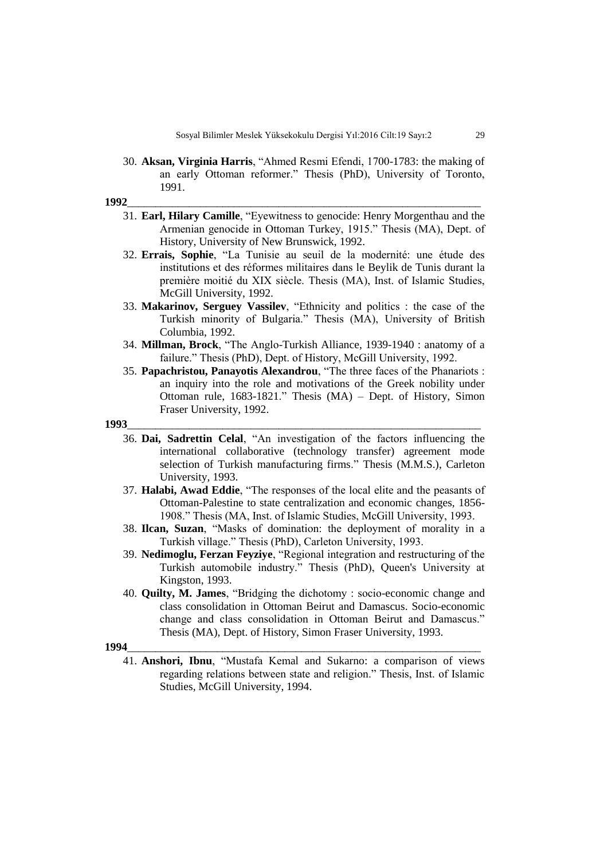30. **Aksan, Virginia Harris**, "Ahmed Resmi Efendi, 1700-1783: the making of an early Ottoman reformer." Thesis (PhD), University of Toronto, 1991.

**1992**\_\_\_\_\_\_\_\_\_\_\_\_\_\_\_\_\_\_\_\_\_\_\_\_\_\_\_\_\_\_\_\_\_\_\_\_\_\_\_\_\_\_\_\_\_\_\_\_\_\_\_\_\_\_\_\_\_\_\_\_\_\_\_

- 31. **Earl, Hilary Camille**, "Eyewitness to genocide: Henry Morgenthau and the Armenian genocide in Ottoman Turkey, 1915." Thesis (MA), Dept. of History, University of New Brunswick, 1992.
- 32. **Errais, Sophie**, "La Tunisie au seuil de la modernité: une étude des institutions et des réformes militaires dans le Beylik de Tunis durant la première moitié du XIX siècle. Thesis (MA), Inst. of Islamic Studies, McGill University, 1992.
- 33. **Makarinov, Serguey Vassilev**, "Ethnicity and politics : the case of the Turkish minority of Bulgaria." Thesis (MA), University of British Columbia, 1992.
- 34. **Millman, Brock**, "The Anglo-Turkish Alliance, 1939-1940 : anatomy of a failure." Thesis (PhD), Dept. of History, McGill University, 1992.
- 35. **Papachristou, Panayotis Alexandrou**, "The three faces of the Phanariots : an inquiry into the role and motivations of the Greek nobility under Ottoman rule, 1683-1821." Thesis (MA) – Dept. of History, Simon Fraser University, 1992.

#### **1993**\_\_\_\_\_\_\_\_\_\_\_\_\_\_\_\_\_\_\_\_\_\_\_\_\_\_\_\_\_\_\_\_\_\_\_\_\_\_\_\_\_\_\_\_\_\_\_\_\_\_\_\_\_\_\_\_\_\_\_\_\_\_\_

- 36. **Dai, Sadrettin Celal**, "An investigation of the factors influencing the international collaborative (technology transfer) agreement mode selection of Turkish manufacturing firms." Thesis (M.M.S.), Carleton University, 1993.
- 37. **Halabi, Awad Eddie**, "The responses of the local elite and the peasants of Ottoman-Palestine to state centralization and economic changes, 1856- 1908." Thesis (MA, Inst. of Islamic Studies, McGill University, 1993.
- 38. **Ilcan, Suzan**, "Masks of domination: the deployment of morality in a Turkish village." Thesis (PhD), Carleton University, 1993.
- 39. **Nedimoglu, Ferzan Feyziye**, "Regional integration and restructuring of the Turkish automobile industry." Thesis (PhD), Queen's University at Kingston, 1993.
- 40. **Quilty, M. James**, "Bridging the dichotomy : socio-economic change and class consolidation in Ottoman Beirut and Damascus. Socio-economic change and class consolidation in Ottoman Beirut and Damascus." Thesis (MA), Dept. of History, Simon Fraser University, 1993.

#### **1994**\_\_\_\_\_\_\_\_\_\_\_\_\_\_\_\_\_\_\_\_\_\_\_\_\_\_\_\_\_\_\_\_\_\_\_\_\_\_\_\_\_\_\_\_\_\_\_\_\_\_\_\_\_\_\_\_\_\_\_\_\_\_\_

41. **Anshori, Ibnu**, "Mustafa Kemal and Sukarno: a comparison of views regarding relations between state and religion." Thesis, Inst. of Islamic Studies, McGill University, 1994.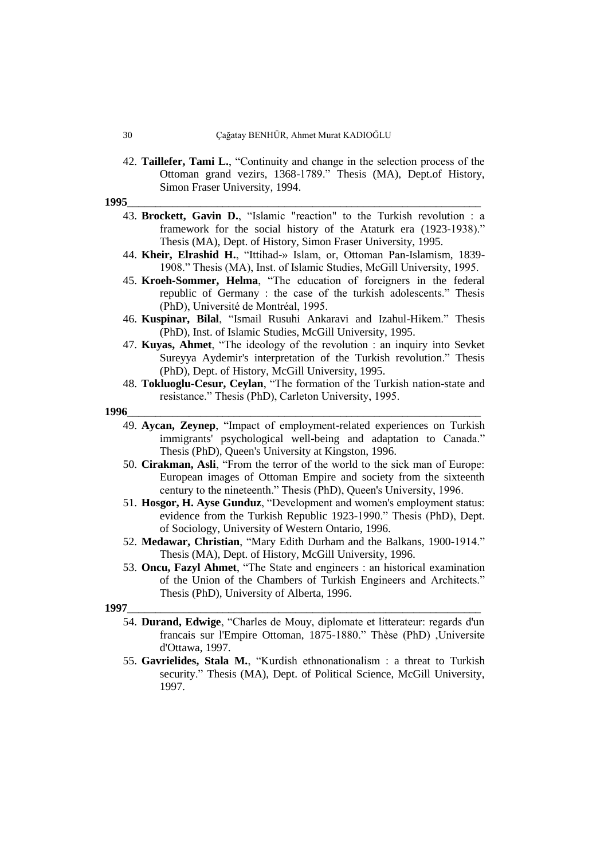42. **Taillefer, Tami L.**, "Continuity and change in the selection process of the Ottoman grand vezirs, 1368-1789." Thesis (MA), Dept.of History, Simon Fraser University, 1994.

**1995**\_\_\_\_\_\_\_\_\_\_\_\_\_\_\_\_\_\_\_\_\_\_\_\_\_\_\_\_\_\_\_\_\_\_\_\_\_\_\_\_\_\_\_\_\_\_\_\_\_\_\_\_\_\_\_\_\_\_\_\_\_\_\_

- 43. **Brockett, Gavin D.**, "Islamic "reaction" to the Turkish revolution : a framework for the social history of the Ataturk era (1923-1938)." Thesis (MA), Dept. of History, Simon Fraser University, 1995.
- 44. **Kheir, Elrashid H.**, "Ittihad-» Islam, or, Ottoman Pan-Islamism, 1839- 1908." Thesis (MA), Inst. of Islamic Studies, McGill University, 1995.
- 45. **Kroeh-Sommer, Helma**, "The education of foreigners in the federal republic of Germany : the case of the turkish adolescents." Thesis (PhD), Université de Montréal, 1995.
- 46. **Kuspinar, Bilal**, "Ismail Rusuhi Ankaravi and Izahul-Hikem." Thesis (PhD), Inst. of Islamic Studies, McGill University, 1995.
- 47. **Kuyas, Ahmet**, "The ideology of the revolution : an inquiry into Sevket Sureyya Aydemir's interpretation of the Turkish revolution." Thesis (PhD), Dept. of History, McGill University, 1995.
- 48. **Tokluoglu-Cesur, Ceylan**, "The formation of the Turkish nation-state and resistance." Thesis (PhD), Carleton University, 1995.

#### **1996**\_\_\_\_\_\_\_\_\_\_\_\_\_\_\_\_\_\_\_\_\_\_\_\_\_\_\_\_\_\_\_\_\_\_\_\_\_\_\_\_\_\_\_\_\_\_\_\_\_\_\_\_\_\_\_\_\_\_\_\_\_\_\_

- 49. **Aycan, Zeynep**, "Impact of employment-related experiences on Turkish immigrants' psychological well-being and adaptation to Canada." Thesis (PhD), Queen's University at Kingston, 1996.
- 50. **Cirakman, Asli**, "From the terror of the world to the sick man of Europe: European images of Ottoman Empire and society from the sixteenth century to the nineteenth." Thesis (PhD), Queen's University, 1996.
- 51. **Hosgor, H. Ayse Gunduz**, "Development and women's employment status: evidence from the Turkish Republic 1923-1990." Thesis (PhD), Dept. of Sociology, University of Western Ontario, 1996.
- 52. **Medawar, Christian**, "Mary Edith Durham and the Balkans, 1900-1914." Thesis (MA), Dept. of History, McGill University, 1996.
- 53. **Oncu, Fazyl Ahmet**, "The State and engineers : an historical examination of the Union of the Chambers of Turkish Engineers and Architects." Thesis (PhD), University of Alberta, 1996.

- 54. **Durand, Edwige**, "Charles de Mouy, diplomate et litterateur: regards d'un francais sur l'Empire Ottoman, 1875-1880." Thèse (PhD) ,Universite d'Ottawa, 1997.
- 55. **Gavrielides, Stala M.**, "Kurdish ethnonationalism : a threat to Turkish security." Thesis (MA), Dept. of Political Science, McGill University, 1997.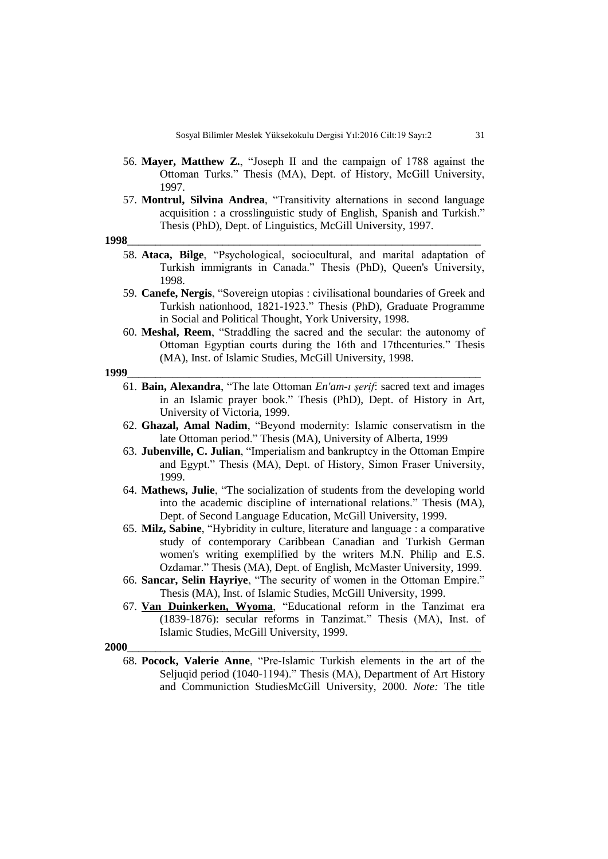- 56. **Mayer, Matthew Z.**, "Joseph II and the campaign of 1788 against the Ottoman Turks." Thesis (MA), Dept. of History, McGill University, 1997.
- 57. **Montrul, Silvina Andrea**, "Transitivity alternations in second language acquisition : a crosslinguistic study of English, Spanish and Turkish." Thesis (PhD), Dept. of Linguistics, McGill University, 1997.

**1998**\_\_\_\_\_\_\_\_\_\_\_\_\_\_\_\_\_\_\_\_\_\_\_\_\_\_\_\_\_\_\_\_\_\_\_\_\_\_\_\_\_\_\_\_\_\_\_\_\_\_\_\_\_\_\_\_\_\_\_\_\_\_\_

- 58. **Ataca, Bilge**, "Psychological, sociocultural, and marital adaptation of Turkish immigrants in Canada." Thesis (PhD), Queen's University, 1998.
- 59. **Canefe, Nergis**, "Sovereign utopias : civilisational boundaries of Greek and Turkish nationhood, 1821-1923." Thesis (PhD), Graduate Programme in Social and Political Thought, York University, 1998.
- 60. **Meshal, Reem**, "Straddling the sacred and the secular: the autonomy of Ottoman Egyptian courts during the 16th and 17thcenturies." Thesis (MA), Inst. of Islamic Studies, McGill University, 1998.

#### **1999**\_\_\_\_\_\_\_\_\_\_\_\_\_\_\_\_\_\_\_\_\_\_\_\_\_\_\_\_\_\_\_\_\_\_\_\_\_\_\_\_\_\_\_\_\_\_\_\_\_\_\_\_\_\_\_\_\_\_\_\_\_\_\_

- 61. **Bain, Alexandra**, "The late Ottoman *En'am-ı şerif*: sacred text and images in an Islamic prayer book." Thesis (PhD), Dept. of History in Art, University of Victoria, 1999.
- 62. **Ghazal, Amal Nadim**, "Beyond modernity: Islamic conservatism in the late Ottoman period." Thesis (MA), University of Alberta, 1999
- 63. **Jubenville, C. Julian**, "Imperialism and bankruptcy in the Ottoman Empire and Egypt." Thesis (MA), Dept. of History, Simon Fraser University, 1999.
- 64. **Mathews, Julie**, "The socialization of students from the developing world into the academic discipline of international relations." Thesis (MA), Dept. of Second Language Education, McGill University, 1999.
- 65. **Milz, Sabine**, "Hybridity in culture, literature and language : a comparative study of contemporary Caribbean Canadian and Turkish German women's writing exemplified by the writers M.N. Philip and E.S. Ozdamar." Thesis (MA), Dept. of English, McMaster University, 1999.
- 66. **Sancar, Selin Hayriye**, "The security of women in the Ottoman Empire." Thesis (MA), Inst. of Islamic Studies, McGill University, 1999.
- 67. **[Van Duinkerken, Wyoma](http://amicus.collectionscanada.ca/aaweb-bin/aamain/rqst_sb?sessionKey=1386544893007_142_78_200_14&r=2&i=NA&l=0&v=0&lvl=1&t=VanDuinkerken,+Wyoma)**, "Educational reform in the Tanzimat era (1839-1876): secular reforms in Tanzimat." Thesis (MA), Inst. of Islamic Studies, McGill University, 1999.

#### **2000**\_\_\_\_\_\_\_\_\_\_\_\_\_\_\_\_\_\_\_\_\_\_\_\_\_\_\_\_\_\_\_\_\_\_\_\_\_\_\_\_\_\_\_\_\_\_\_\_\_\_\_\_\_\_\_\_\_\_\_\_\_\_\_

68. **Pocock, Valerie Anne**, "Pre-Islamic Turkish elements in the art of the Seljuqid period (1040-1194)." Thesis (MA), Department of Art History and Communiction StudiesMcGill University, 2000. *Note:* The title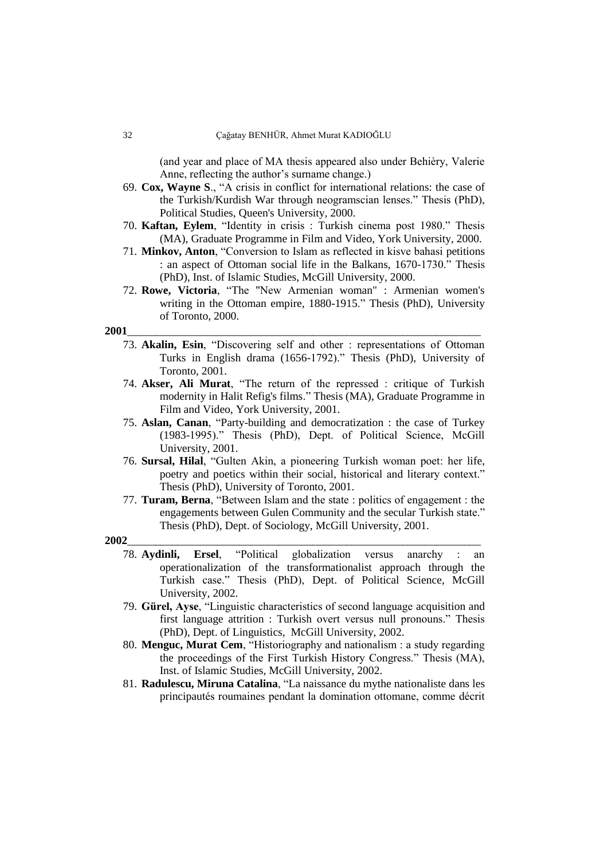(and year and place of MA thesis appeared also under Behièry, Valerie Anne, reflecting the author's surname change.)

- 69. **Cox, Wayne S**., "A crisis in conflict for international relations: the case of the Turkish/Kurdish War through neogramscian lenses." Thesis (PhD), Political Studies, Queen's University, 2000.
- 70. **Kaftan, Eylem**, "Identity in crisis : Turkish cinema post 1980." Thesis (MA), Graduate Programme in Film and Video, York University, 2000.
- 71. **Minkov, Anton**, "Conversion to Islam as reflected in kisve bahasi petitions : an aspect of Ottoman social life in the Balkans, 1670-1730." Thesis (PhD), Inst. of Islamic Studies, McGill University, 2000.
- 72. **Rowe, Victoria**, "The "New Armenian woman" : Armenian women's writing in the Ottoman empire, 1880-1915." Thesis (PhD), University of Toronto, 2000.

#### **2001**\_\_\_\_\_\_\_\_\_\_\_\_\_\_\_\_\_\_\_\_\_\_\_\_\_\_\_\_\_\_\_\_\_\_\_\_\_\_\_\_\_\_\_\_\_\_\_\_\_\_\_\_\_\_\_\_\_\_\_\_\_\_\_

- 73. **Akalin, Esin**, "Discovering self and other : representations of Ottoman Turks in English drama (1656-1792)." Thesis (PhD), University of Toronto, 2001.
- 74. **Akser, Ali Murat**, "The return of the repressed : critique of Turkish modernity in Halit Refig's films." Thesis (MA), Graduate Programme in Film and Video, York University, 2001.
- 75. **Aslan, Canan**, "Party-building and democratization : the case of Turkey (1983-1995)." Thesis (PhD), Dept. of Political Science, McGill University, 2001.
- 76. **Sursal, Hilal**, "Gulten Akin, a pioneering Turkish woman poet: her life, poetry and poetics within their social, historical and literary context." Thesis (PhD), University of Toronto, 2001.
- 77. **Turam, Berna**, "Between Islam and the state : politics of engagement : the engagements between Gulen Community and the secular Turkish state." Thesis (PhD), Dept. of Sociology, McGill University, 2001.

- 78. **Aydinli, Ersel**, "Political globalization versus anarchy : an operationalization of the transformationalist approach through the Turkish case." Thesis (PhD), Dept. of Political Science, McGill University, 2002.
- 79. **Gürel, Ayse**, "Linguistic characteristics of second language acquisition and first language attrition : Turkish overt versus null pronouns." Thesis (PhD), Dept. of Linguistics, McGill University, 2002.
- 80. **Menguc, Murat Cem**, "Historiography and nationalism : a study regarding the proceedings of the First Turkish History Congress." Thesis (MA), Inst. of Islamic Studies, McGill University, 2002.
- 81. **Radulescu, Miruna Catalina**, "La naissance du mythe nationaliste dans les principautés roumaines pendant la domination ottomane, comme décrit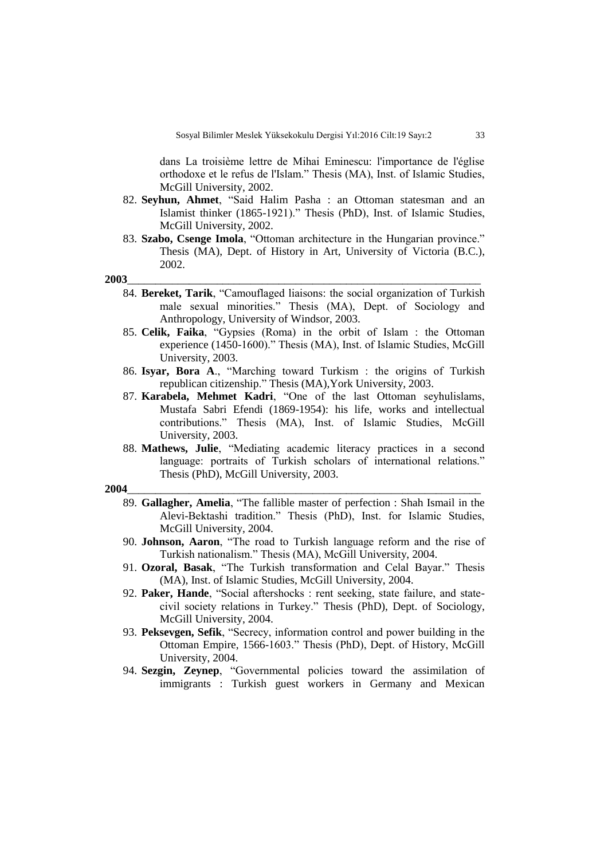dans La troisième lettre de Mihai Eminescu: l'importance de l'église orthodoxe et le refus de l'Islam." Thesis (MA), Inst. of Islamic Studies, McGill University, 2002.

- 82. **Seyhun, Ahmet**, "Said Halim Pasha : an Ottoman statesman and an Islamist thinker (1865-1921)." Thesis (PhD), Inst. of Islamic Studies, McGill University, 2002.
- 83. **Szabo, Csenge Imola**, "Ottoman architecture in the Hungarian province." Thesis (MA), Dept. of History in Art, University of Victoria (B.C.), 2002.

**2003**\_\_\_\_\_\_\_\_\_\_\_\_\_\_\_\_\_\_\_\_\_\_\_\_\_\_\_\_\_\_\_\_\_\_\_\_\_\_\_\_\_\_\_\_\_\_\_\_\_\_\_\_\_\_\_\_\_\_\_\_\_\_\_

- 84. **Bereket, Tarik**, "Camouflaged liaisons: the social organization of Turkish male sexual minorities." Thesis (MA), Dept. of Sociology and Anthropology, University of Windsor, 2003.
- 85. **Celik, Faika**, "Gypsies (Roma) in the orbit of Islam : the Ottoman experience (1450-1600)." Thesis (MA), Inst. of Islamic Studies, McGill University, 2003.
- 86. **Isyar, Bora A**., "Marching toward Turkism : the origins of Turkish republican citizenship." Thesis (MA),York University, 2003.
- 87. **Karabela, Mehmet Kadri**, "One of the last Ottoman seyhulislams, Mustafa Sabri Efendi (1869-1954): his life, works and intellectual contributions." Thesis (MA), Inst. of Islamic Studies, McGill University, 2003.
- 88. **Mathews, Julie**, "Mediating academic literacy practices in a second language: portraits of Turkish scholars of international relations." Thesis (PhD), McGill University, 2003.

- 89. **Gallagher, Amelia**, "The fallible master of perfection : Shah Ismail in the Alevi-Bektashi tradition." Thesis (PhD), Inst. for Islamic Studies, McGill University, 2004.
- 90. **Johnson, Aaron**, "The road to Turkish language reform and the rise of Turkish nationalism." Thesis (MA), McGill University, 2004.
- 91. **Ozoral, Basak**, "The Turkish transformation and Celal Bayar." Thesis (MA), Inst. of Islamic Studies, McGill University, 2004.
- 92. **Paker, Hande**, "Social aftershocks : rent seeking, state failure, and statecivil society relations in Turkey." Thesis (PhD), Dept. of Sociology, McGill University, 2004.
- 93. **Peksevgen, Sefik**, "Secrecy, information control and power building in the Ottoman Empire, 1566-1603." Thesis (PhD), Dept. of History, McGill University, 2004.
- 94. **Sezgin, Zeynep**, "Governmental policies toward the assimilation of immigrants : Turkish guest workers in Germany and Mexican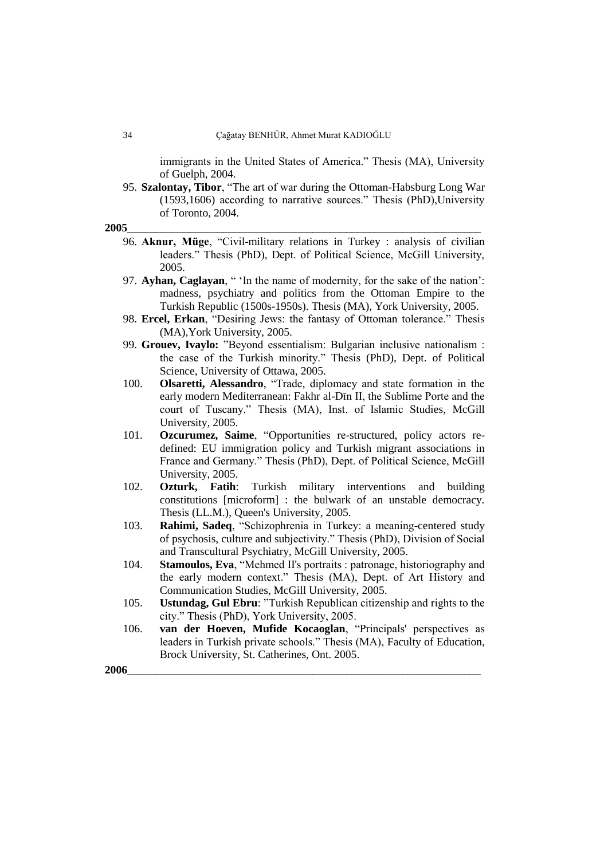immigrants in the United States of America." Thesis (MA), University of Guelph, 2004.

95. **Szalontay, Tibor**, "The art of war during the Ottoman-Habsburg Long War (1593,1606) according to narrative sources." Thesis (PhD),University of Toronto, 2004.

**2005**\_\_\_\_\_\_\_\_\_\_\_\_\_\_\_\_\_\_\_\_\_\_\_\_\_\_\_\_\_\_\_\_\_\_\_\_\_\_\_\_\_\_\_\_\_\_\_\_\_\_\_\_\_\_\_\_\_\_\_\_\_\_\_

- 96. **Aknur, Müge**, "Civil-military relations in Turkey : analysis of civilian leaders." Thesis (PhD), Dept. of Political Science, McGill University, 2005.
- 97. **Ayhan, Caglayan**, " 'In the name of modernity, for the sake of the nation': madness, psychiatry and politics from the Ottoman Empire to the Turkish Republic (1500s-1950s). Thesis (MA), York University, 2005.
- 98. **Ercel, Erkan**, "Desiring Jews: the fantasy of Ottoman tolerance." Thesis (MA),York University, 2005.
- 99. **Grouev, Ivaylo:** "Beyond essentialism: Bulgarian inclusive nationalism : the case of the Turkish minority." Thesis (PhD), Dept. of Political Science, University of Ottawa, 2005.
- 100. **Olsaretti, Alessandro**, "Trade, diplomacy and state formation in the early modern Mediterranean: Fakhr al-Dīn II, the Sublime Porte and the court of Tuscany." Thesis (MA), Inst. of Islamic Studies, McGill University, 2005.
- 101. **Ozcurumez, Saime**, "Opportunities re-structured, policy actors redefined: EU immigration policy and Turkish migrant associations in France and Germany." Thesis (PhD), Dept. of Political Science, McGill University, 2005.
- 102. **Ozturk, Fatih**: Turkish military interventions and building constitutions [microform] : the bulwark of an unstable democracy. Thesis (LL.M.), Queen's University, 2005.
- 103. **Rahimi, Sadeq**, "Schizophrenia in Turkey: a meaning-centered study of psychosis, culture and subjectivity." Thesis (PhD), Division of Social and Transcultural Psychiatry, McGill University, 2005.
- 104. **Stamoulos, Eva**, "Mehmed II's portraits : patronage, historiography and the early modern context." Thesis (MA), Dept. of Art History and Communication Studies, McGill University, 2005.
- 105. **Ustundag, Gul Ebru**: "Turkish Republican citizenship and rights to the city." Thesis (PhD), York University, 2005.
- 106. **van der Hoeven, Mufide Kocaoglan**, "Principals' perspectives as leaders in Turkish private schools." Thesis (MA), Faculty of Education, Brock University, St. Catherines, Ont. 2005.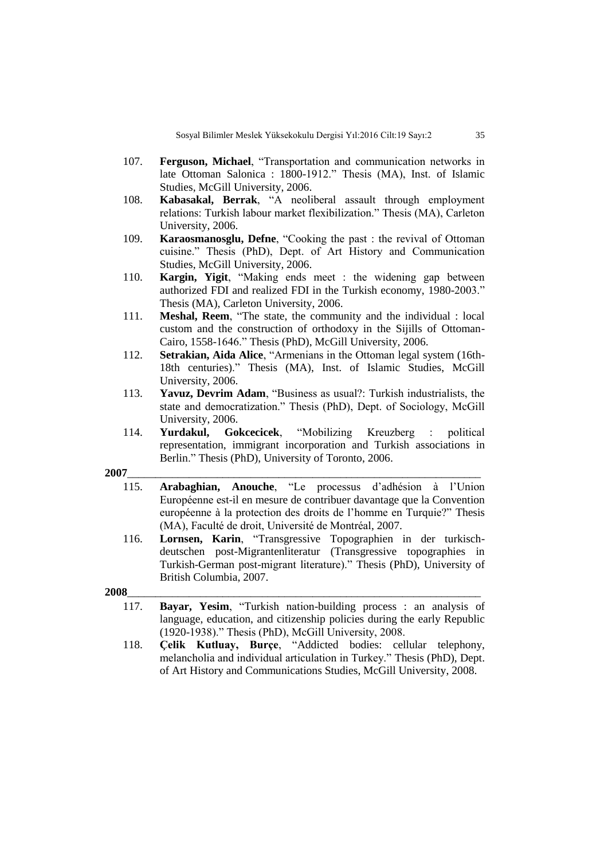- 107. **Ferguson, Michael**, "Transportation and communication networks in late Ottoman Salonica : 1800-1912." Thesis (MA), Inst. of Islamic Studies, McGill University, 2006.
- 108. **Kabasakal, Berrak**, "A neoliberal assault through employment relations: Turkish labour market flexibilization." Thesis (MA), Carleton University, 2006.
- 109. **Karaosmanosglu, Defne**, "Cooking the past : the revival of Ottoman cuisine." Thesis (PhD), Dept. of Art History and Communication Studies, McGill University, 2006.
- 110. **Kargin, Yigit**, "Making ends meet : the widening gap between authorized FDI and realized FDI in the Turkish economy, 1980-2003." Thesis (MA), Carleton University, 2006.
- 111. **Meshal, Reem**, "The state, the community and the individual : local custom and the construction of orthodoxy in the Sijills of Ottoman-Cairo, 1558-1646." Thesis (PhD), McGill University, 2006.
- 112. **Setrakian, Aida Alice**, "Armenians in the Ottoman legal system (16th-18th centuries)." Thesis (MA), Inst. of Islamic Studies, McGill University, 2006.
- 113. **Yavuz, Devrim Adam**, "Business as usual?: Turkish industrialists, the state and democratization." Thesis (PhD), Dept. of Sociology, McGill University, 2006.
- 114. **Yurdakul, Gokcecicek**, "Mobilizing Kreuzberg : political representation, immigrant incorporation and Turkish associations in Berlin." Thesis (PhD), University of Toronto, 2006.

**2007**\_\_\_\_\_\_\_\_\_\_\_\_\_\_\_\_\_\_\_\_\_\_\_\_\_\_\_\_\_\_\_\_\_\_\_\_\_\_\_\_\_\_\_\_\_\_\_\_\_\_\_\_\_\_\_\_\_\_\_\_\_\_\_

- 115. **Arabaghian, Anouche**, "Le processus d"adhésion à l"Union Européenne est-il en mesure de contribuer davantage que la Convention européenne à la protection des droits de l"homme en Turquie?" Thesis (MA), Faculté de droit, Université de Montréal, 2007.
- 116. **Lornsen, Karin**, "Transgressive Topographien in der turkischdeutschen post-Migrantenliteratur (Transgressive topographies in Turkish-German post-migrant literature)." Thesis (PhD), University of British Columbia, 2007.

- 117. **Bayar, Yesim**, "Turkish nation-building process : an analysis of language, education, and citizenship policies during the early Republic (1920-1938)." Thesis (PhD), McGill University, 2008.
- 118. **Çelik Kutluay, Burçe**, "Addicted bodies: cellular telephony, melancholia and individual articulation in Turkey." Thesis (PhD), Dept. of Art History and Communications Studies, McGill University, 2008.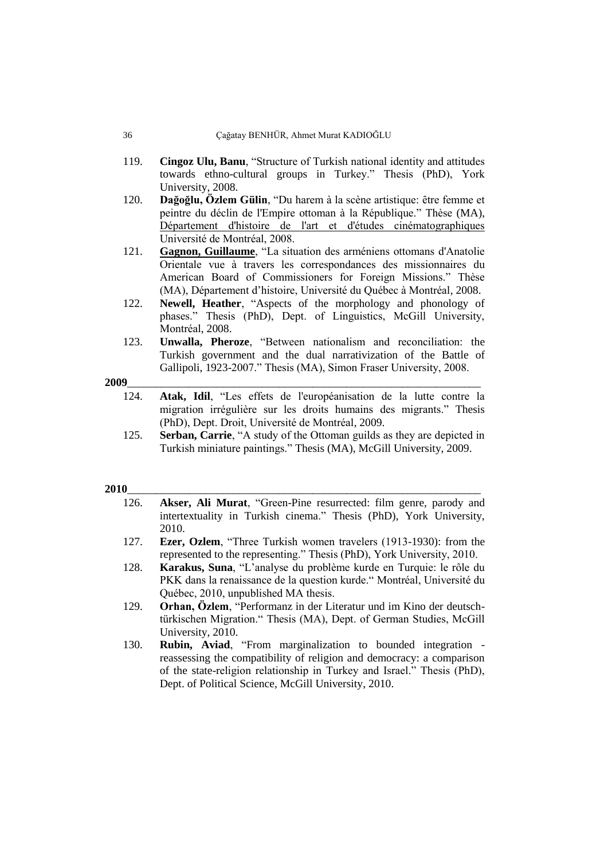#### 36 Çağatay BENHÜR, Ahmet Murat KADIOĞLU

- 119. **Cingoz Ulu, Banu**, "Structure of Turkish national identity and attitudes towards ethno-cultural groups in Turkey." Thesis (PhD), York University, 2008.
- 120. **Dağoğlu, Özlem Gülin**, "Du harem à la scène artistique: être femme et peintre du déclin de l'Empire ottoman à la République." Thèse (MA), [Département d'histoire de l'art et d'études cinématographiques](https://papyrus.bib.umontreal.ca/xmlui/handle/1866/3000) Université de Montréal, 2008.
- 121. **[Gagnon, Guillaume](http://amicus.collectionscanada.ca/aaweb-bin/aamain/rqst_sb?sessionKey=1386531516020_142_78_200_14&r=2&i=NA&l=0&v=0&lvl=2&t=Gagnon,+Guillaume)**, "La situation des arméniens ottomans d'Anatolie Orientale vue à travers les correspondances des missionnaires du American Board of Commissioners for Foreign Missions." Thèse (MA), Département d"histoire, Université du Québec à Montréal, 2008.
- 122. **Newell, Heather**, "Aspects of the morphology and phonology of phases." Thesis (PhD), Dept. of Linguistics, McGill University, Montréal, 2008.
- 123. **Unwalla, Pheroze**, "Between nationalism and reconciliation: the Turkish government and the dual narrativization of the Battle of Gallipoli, 1923-2007." Thesis (MA), Simon Fraser University, 2008.

#### **2009**\_\_\_\_\_\_\_\_\_\_\_\_\_\_\_\_\_\_\_\_\_\_\_\_\_\_\_\_\_\_\_\_\_\_\_\_\_\_\_\_\_\_\_\_\_\_\_\_\_\_\_\_\_\_\_\_\_\_\_\_\_\_\_

- 124. **Atak, Idil**, "Les effets de l'européanisation de la lutte contre la migration irrégulière sur les droits humains des migrants." Thesis (PhD), Dept. Droit, Université de Montréal, 2009.
- 125. **Serban, Carrie**, "A study of the Ottoman guilds as they are depicted in Turkish miniature paintings." Thesis (MA), McGill University, 2009.

- 126. **Akser, Ali Murat**, "Green-Pine resurrected: film genre, parody and intertextuality in Turkish cinema." Thesis (PhD), York University, 2010.
- 127. **Ezer, Ozlem**, "Three Turkish women travelers (1913-1930): from the represented to the representing." Thesis (PhD), York University, 2010.
- 128. **Karakus, Suna**, "L"analyse du problème kurde en Turquie: le rôle du PKK dans la renaissance de la question kurde." Montréal, Université du Québec, 2010, unpublished MA thesis.
- 129. **Orhan, Özlem**, "Performanz in der Literatur und im Kino der deutschtürkischen Migration." Thesis (MA), Dept. of German Studies, McGill University, 2010.
- 130. **Rubin, Aviad**, "From marginalization to bounded integration reassessing the compatibility of religion and democracy: a comparison of the state-religion relationship in Turkey and Israel." Thesis (PhD), Dept. of Political Science, McGill University, 2010.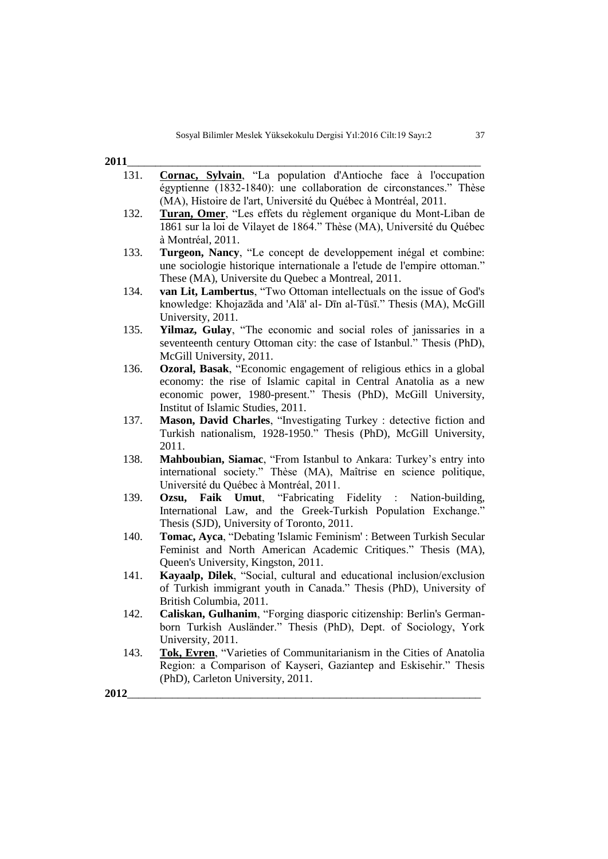| $2011$<br>$\sim$ |  |
|------------------|--|
|                  |  |

- 131. **[Cornac, Sylvain](http://amicus.collectionscanada.ca/aaweb-bin/aamain/rqst_sb?sessionKey=1386531516020_142_78_200_14&r=2&i=NA&l=0&v=0&lvl=2&t=Cornac,+Sylvain)**, "La population d'Antioche face à l'occupation égyptienne (1832-1840): une collaboration de circonstances." Thèse (MA), Histoire de l'art, Université du Québec à Montréal, 2011.
- 132. **[Turan, Omer](http://amicus.collectionscanada.ca/aaweb-bin/aamain/rqst_sb?sessionKey=1386531516020_142_78_200_14&r=2&i=NA&l=0&v=0&lvl=2&t=Turan,+Omer)**, "Les effets du règlement organique du Mont-Liban de 1861 sur la loi de Vilayet de 1864." Thèse (MA), Université du Québec à Montréal, 2011.
- 133. **Turgeon, Nancy**, "Le concept de developpement inégal et combine: une sociologie historique internationale a l'etude de l'empire ottoman." These (MA), Universite du Quebec a Montreal, 2011.
- 134. **van Lit, Lambertus**, "Two Ottoman intellectuals on the issue of God's knowledge: Khojazāda and 'Alā' al- Dīn al-Tūsī." Thesis (MA), McGill University, 2011.
- 135. **Yilmaz, Gulay**, "The economic and social roles of janissaries in a seventeenth century Ottoman city: the case of Istanbul." Thesis (PhD), McGill University, 2011.
- 136. **Ozoral, Basak**, "Economic engagement of religious ethics in a global economy: the rise of Islamic capital in Central Anatolia as a new economic power, 1980-present." Thesis (PhD), McGill University, Institut of Islamic Studies, 2011.
- 137. **Mason, David Charles**, "Investigating Turkey : detective fiction and Turkish nationalism, 1928-1950." Thesis (PhD), McGill University, 2011.
- 138. **Mahboubian, Siamac**, "From Istanbul to Ankara: Turkey's entry into international society." Thèse (MA), Maîtrise en science politique, Université du Québec à Montréal, 2011.
- 139. **Ozsu, Faik Umut**, "Fabricating Fidelity : Nation-building, International Law, and the Greek-Turkish Population Exchange." Thesis (SJD), University of Toronto, 2011.
- 140. **Tomac, Ayca**, "Debating 'Islamic Feminism' : Between Turkish Secular Feminist and North American Academic Critiques." Thesis (MA), Queen's University, Kingston, 2011.
- 141. **Kayaalp, Dilek**, "Social, cultural and educational inclusion/exclusion of Turkish immigrant youth in Canada." Thesis (PhD), University of British Columbia, 2011.
- 142. **Caliskan, Gulhanim**, "Forging diasporic citizenship: Berlin's Germanborn Turkish Ausländer." Thesis (PhD), Dept. of Sociology, York University, 2011.
- 143. **[Tok, Evren](http://amicus.collectionscanada.gc.ca/aaweb-bin/aamain/rqst_sb?sessionKey=999999999_142&r=2&i=NA&l=0&v=0&lvl=1&t=Tok,+Evren)**, "Varieties of Communitarianism in the Cities of Anatolia Region: a Comparison of Kayseri, Gaziantep and Eskisehir." Thesis (PhD), Carleton University, 2011.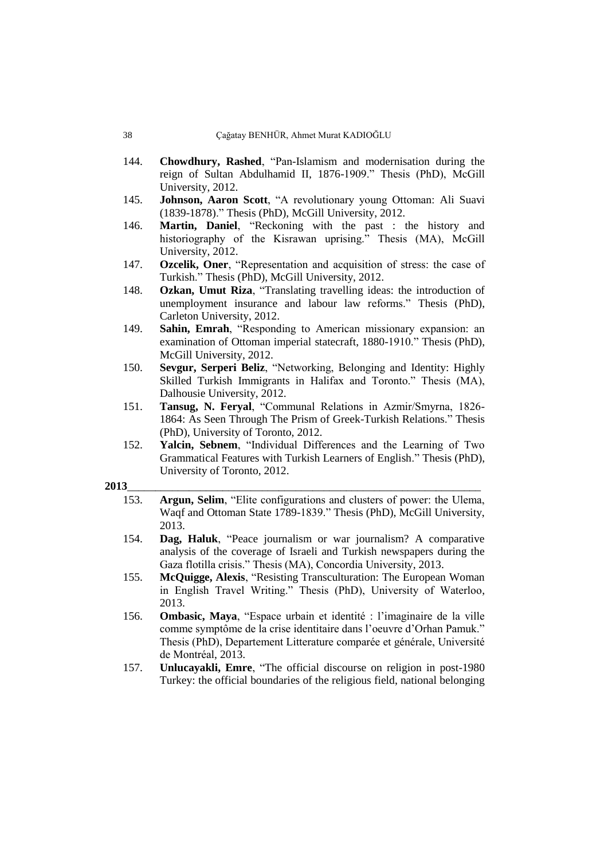- 144. **Chowdhury, Rashed**, "Pan-Islamism and modernisation during the reign of Sultan Abdulhamid II, 1876-1909." Thesis (PhD), McGill University, 2012.
- 145. **Johnson, Aaron Scott**, "A revolutionary young Ottoman: Ali Suavi (1839-1878)." Thesis (PhD), McGill University, 2012.
- 146. **[Martin, Daniel](http://amicus.collectionscanada.ca/aaweb-bin/aamain/rqst_sb?sessionKey=1386531516020_142_78_200_14&r=2&i=NA&l=0&v=0&lvl=2&t=Martin,+Daniel)**, "Reckoning with the past : the history and historiography of the Kisrawan uprising." Thesis (MA), McGill University, 2012.
- 147. **Ozcelik, Oner**, "Representation and acquisition of stress: the case of Turkish." Thesis (PhD), McGill University, 2012.
- 148. **[Ozkan, Umut Riza](http://amicus.collectionscanada.gc.ca/aaweb-bin/aamain/rqst_sb?sessionKey=999999999_142&r=2&i=NA&l=0&v=0&lvl=1&t=Ozkan,+Umut+Riza)**, "Translating travelling ideas: the introduction of unemployment insurance and labour law reforms." Thesis (PhD), Carleton University, 2012.
- 149. **Sahin, Emrah**, "Responding to American missionary expansion: an examination of Ottoman imperial statecraft, 1880-1910." Thesis (PhD), McGill University, 2012.
- 150. **Sevgur, Serperi Beliz**, "Networking, Belonging and Identity: Highly Skilled Turkish Immigrants in Halifax and Toronto." Thesis (MA), Dalhousie University, 2012.
- 151. **Tansug, N. Feryal**, "Communal Relations in Azmir/Smyrna, 1826- 1864: As Seen Through The Prism of Greek-Turkish Relations." Thesis (PhD), University of Toronto, 2012.
- 152. **Yalcin, Sebnem**, "Individual Differences and the Learning of Two Grammatical Features with Turkish Learners of English." Thesis (PhD), University of Toronto, 2012.

- 153. **Argun, Selim**, "Elite configurations and clusters of power: the Ulema, Waqf and Ottoman State 1789-1839." Thesis (PhD), McGill University, 2013.
- 154. **[Dag, Haluk](http://amicus.collectionscanada.gc.ca/aaweb-bin/aamain/rqst_sb?sessionKey=999999999_142&r=2&i=NA&l=0&v=0&lvl=1&t=Dag,+Haluk)**, "Peace journalism or war journalism? A comparative analysis of the coverage of Israeli and Turkish newspapers during the Gaza flotilla crisis." Thesis (MA), Concordia University, 2013.
- 155. **[McQuigge, Alexis](http://amicus.collectionscanada.gc.ca/aaweb-bin/aamain/rqst_sb?sessionKey=999999999_142&r=2&i=NA&l=0&v=0&lvl=1&t=McQuigge,+Alexis)**, "Resisting Transculturation: The European Woman in English Travel Writing." Thesis (PhD), University of Waterloo, 2013.
- 156. **Ombasic, Maya**, "Espace urbain et identité : l"imaginaire de la ville comme symptôme de la crise identitaire dans l"oeuvre d"Orhan Pamuk." Thesis (PhD), Departement Litterature comparée et générale, Université de Montréal, 2013.
- 157. **Unlucayakli, Emre**, "The official discourse on religion in post-1980 Turkey: the official boundaries of the religious field, national belonging